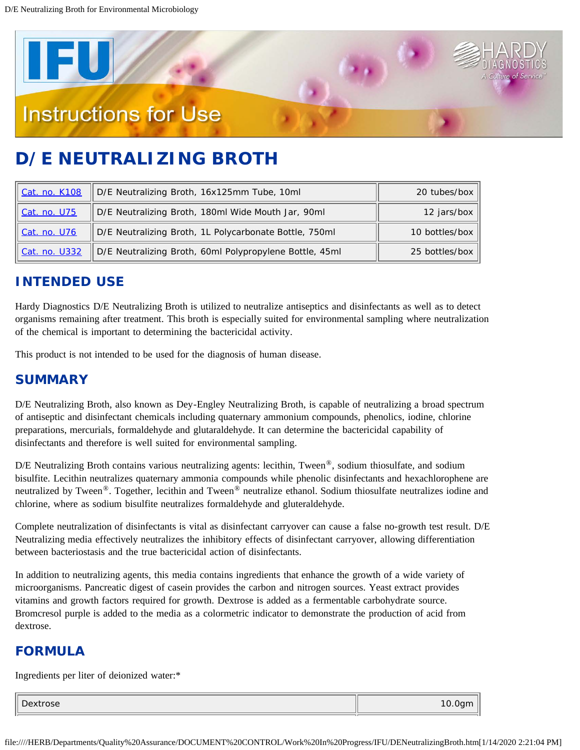

# **D/E NEUTRALIZING BROTH**

| Cat. no. K108 | D/E Neutralizing Broth, 16x125mm Tube, 10ml             | 20 tubes/box   |
|---------------|---------------------------------------------------------|----------------|
| Cat. no. U75  | D/E Neutralizing Broth, 180ml Wide Mouth Jar, 90ml      | 12 jars/box    |
| Cat. no. U76  | D/E Neutralizing Broth, 1L Polycarbonate Bottle, 750ml  | 10 bottles/box |
| Cat. no. U332 | D/E Neutralizing Broth, 60ml Polypropylene Bottle, 45ml | 25 bottles/box |

### **INTENDED USE**

Hardy Diagnostics D/E Neutralizing Broth is utilized to neutralize antiseptics and disinfectants as well as to detect organisms remaining after treatment. This broth is especially suited for environmental sampling where neutralization of the chemical is important to determining the bactericidal activity.

This product is not intended to be used for the diagnosis of human disease.

### **SUMMARY**

D/E Neutralizing Broth, also known as Dey-Engley Neutralizing Broth, is capable of neutralizing a broad spectrum of antiseptic and disinfectant chemicals including quaternary ammonium compounds, phenolics, iodine, chlorine preparations, mercurials, formaldehyde and glutaraldehyde. It can determine the bactericidal capability of disinfectants and therefore is well suited for environmental sampling.

D/E Neutralizing Broth contains various neutralizing agents: lecithin, Tween<sup>®</sup>, sodium thiosulfate, and sodium bisulfite. Lecithin neutralizes quaternary ammonia compounds while phenolic disinfectants and hexachlorophene are neutralized by Tween<sup>®</sup>. Together, lecithin and Tween<sup>®</sup> neutralize ethanol. Sodium thiosulfate neutralizes iodine and chlorine, where as sodium bisulfite neutralizes formaldehyde and gluteraldehyde.

Complete neutralization of disinfectants is vital as disinfectant carryover can cause a false no-growth test result. D/E Neutralizing media effectively neutralizes the inhibitory effects of disinfectant carryover, allowing differentiation between bacteriostasis and the true bactericidal action of disinfectants.

In addition to neutralizing agents, this media contains ingredients that enhance the growth of a wide variety of microorganisms. Pancreatic digest of casein provides the carbon and nitrogen sources. Yeast extract provides vitamins and growth factors required for growth. Dextrose is added as a fermentable carbohydrate source. Bromcresol purple is added to the media as a colormetric indicator to demonstrate the production of acid from dextrose.

### **FORMULA**

Ingredients per liter of deionized water:\*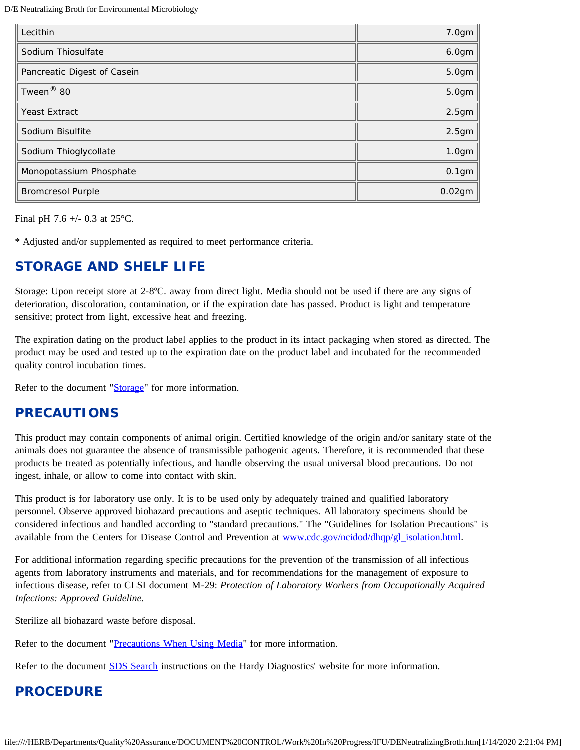D/E Neutralizing Broth for Environmental Microbiology

| Lecithin                    | 7.0gm             |
|-----------------------------|-------------------|
| Sodium Thiosulfate          | 6.0gm             |
| Pancreatic Digest of Casein | 5.0gm             |
| Tween <sup>®</sup> 80       | 5.0gm             |
| <b>Yeast Extract</b>        | 2.5 <sub>gm</sub> |
| Sodium Bisulfite            | 2.5 <sub>gm</sub> |
| Sodium Thioglycollate       | 1.0 <sub>gm</sub> |
| Monopotassium Phosphate     | 0.1 <sub>gm</sub> |
| <b>Bromcresol Purple</b>    | $0.02$ gm         |

Final pH 7.6 +/- 0.3 at 25°C.

\* Adjusted and/or supplemented as required to meet performance criteria.

#### **STORAGE AND SHELF LIFE**

Storage: Upon receipt store at 2-8°C. away from direct light. Media should not be used if there are any signs of deterioration, discoloration, contamination, or if the expiration date has passed. Product is light and temperature sensitive; protect from light, excessive heat and freezing.

The expiration dating on the product label applies to the product in its intact packaging when stored as directed. The product may be used and tested up to the expiration date on the product label and incubated for the recommended quality control incubation times.

Refer to the document ["Storage](https://catalog.hardydiagnostics.com/cp_prod/Content/hugo/Storage.htm)" for more information.

#### **PRECAUTIONS**

This product may contain components of animal origin. Certified knowledge of the origin and/or sanitary state of the animals does not guarantee the absence of transmissible pathogenic agents. Therefore, it is recommended that these products be treated as potentially infectious, and handle observing the usual universal blood precautions. Do not ingest, inhale, or allow to come into contact with skin.

This product is for laboratory use only. It is to be used only by adequately trained and qualified laboratory personnel. Observe approved biohazard precautions and aseptic techniques. All laboratory specimens should be considered infectious and handled according to "standard precautions." The "Guidelines for Isolation Precautions" is available from the Centers for Disease Control and Prevention at [www.cdc.gov/ncidod/dhqp/gl\\_isolation.html](http://www.cdc.gov/ncidod/dhqp/gl_isolation.html).

For additional information regarding specific precautions for the prevention of the transmission of all infectious agents from laboratory instruments and materials, and for recommendations for the management of exposure to infectious disease, refer to CLSI document M-29: *Protection of Laboratory Workers from Occupationally Acquired Infections: Approved Guideline.*

Sterilize all biohazard waste before disposal.

Refer to the document ["Precautions When Using Media"](https://catalog.hardydiagnostics.com/cp_prod/Content/hugo/PrecautionsWhenUsingMedia.htm) for more information.

Refer to the document **SDS Search** instructions on the Hardy Diagnostics' website for more information.

#### **PROCEDURE**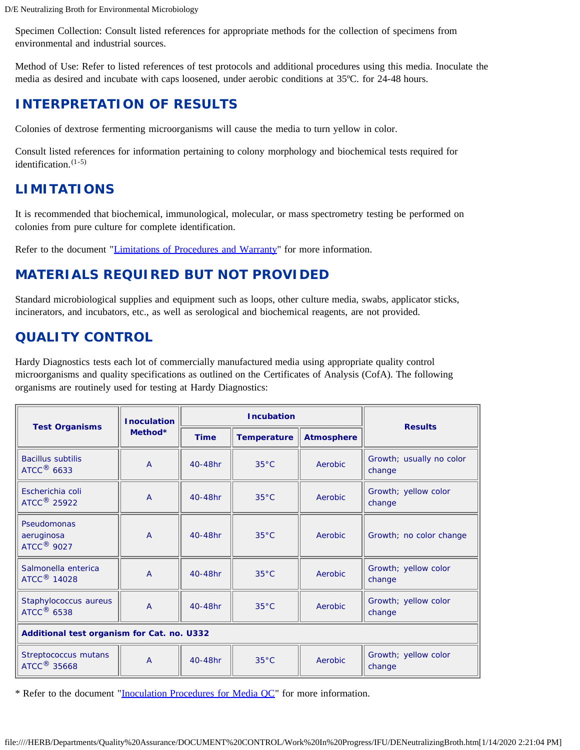Specimen Collection: Consult listed references for appropriate methods for the collection of specimens from environmental and industrial sources.

Method of Use: Refer to listed references of test protocols and additional procedures using this media. Inoculate the media as desired and incubate with caps loosened, under aerobic conditions at 35ºC. for 24-48 hours.

# **INTERPRETATION OF RESULTS**

Colonies of dextrose fermenting microorganisms will cause the media to turn yellow in color.

Consult listed references for information pertaining to colony morphology and biochemical tests required for identification. $(1-5)$ 

# **LIMITATIONS**

It is recommended that biochemical, immunological, molecular, or mass spectrometry testing be performed on colonies from pure culture for complete identification.

Refer to the document ["Limitations of Procedures and Warranty"](https://catalog.hardydiagnostics.com/cp_prod/Content/hugo/LimitsOfProceduresWarranty.htm) for more information.

# **MATERIALS REQUIRED BUT NOT PROVIDED**

Standard microbiological supplies and equipment such as loops, other culture media, swabs, applicator sticks, incinerators, and incubators, etc., as well as serological and biochemical reagents, are not provided.

# **QUALITY CONTROL**

Hardy Diagnostics tests each lot of commercially manufactured media using appropriate quality control microorganisms and quality specifications as outlined on the Certificates of Analysis (CofA). The following organisms are routinely used for testing at Hardy Diagnostics:

| <b>Test Organisms</b>                                | <b>Inoculation</b><br>Method* | <b>Incubation</b> |                    |                   | <b>Results</b>                     |  |  |
|------------------------------------------------------|-------------------------------|-------------------|--------------------|-------------------|------------------------------------|--|--|
|                                                      |                               | <b>Time</b>       | <b>Temperature</b> | <b>Atmosphere</b> |                                    |  |  |
| <b>Bacillus subtilis</b><br>ATCC $^{\circledR}$ 6633 | $\overline{A}$                | 40-48hr           | $35^{\circ}$ C     | Aerobic           | Growth; usually no color<br>change |  |  |
| Escherichia coli<br>ATCC <sup>®</sup> 25922          | $\overline{A}$                | 40-48hr           | $35^{\circ}$ C     | Aerobic           | Growth; yellow color<br>change     |  |  |
| Pseudomonas<br>aeruginosa<br>ATCC <sup>®</sup> 9027  | $\overline{A}$                | 40-48hr           | $35^{\circ}$ C     | Aerobic           | Growth; no color change            |  |  |
| Salmonella enterica<br>ATCC <sup>®</sup> 14028       | $\overline{A}$                | 40-48hr           | $35^{\circ}$ C     | <b>Aerobic</b>    | Growth; yellow color<br>change     |  |  |
| Staphylococcus aureus<br>ATCC <sup>®</sup> 6538      | $\overline{A}$                | 40-48hr           | $35^{\circ}$ C     | Aerobic           | Growth; yellow color<br>change     |  |  |
| Additional test organism for Cat. no. U332           |                               |                   |                    |                   |                                    |  |  |
| Streptococcus mutans<br>ATCC <sup>®</sup> 35668      | $\overline{A}$                | 40-48hr           | $35^{\circ}$ C     | Aerobic           | Growth; yellow color<br>change     |  |  |

\* Refer to the document "[Inoculation Procedures for Media QC"](https://catalog.hardydiagnostics.com/cp_prod/Content/hugo/InocProced4MediaQC.htm) for more information.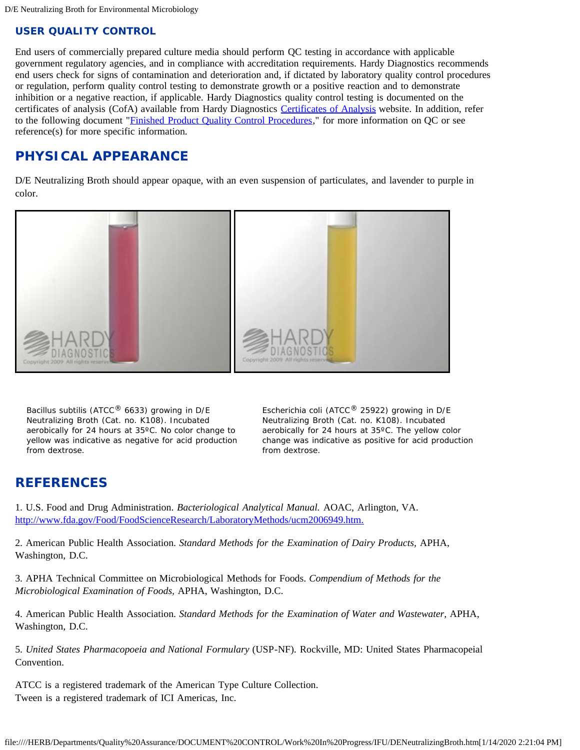#### **USER QUALITY CONTROL**

End users of commercially prepared culture media should perform QC testing in accordance with applicable government regulatory agencies, and in compliance with accreditation requirements. Hardy Diagnostics recommends end users check for signs of contamination and deterioration and, if dictated by laboratory quality control procedures or regulation, perform quality control testing to demonstrate growth or a positive reaction and to demonstrate inhibition or a negative reaction, if applicable. Hardy Diagnostics quality control testing is documented on the certificates of analysis (CofA) available from Hardy Diagnostics [Certificates of Analysis](https://catalog.hardydiagnostics.com/cp_prod/Hardy_COA.aspx) website. In addition, refer to the following document "[Finished Product Quality Control Procedures,](https://catalog.hardydiagnostics.com/cp_prod/Content/hugo/FinishedProductQC.htm)" for more information on QC or see reference(s) for more specific information.

# **PHYSICAL APPEARANCE**

D/E Neutralizing Broth should appear opaque, with an even suspension of particulates, and lavender to purple in color.



*Bacillus subtilis* (ATCC® 6633) growing in D/E Neutralizing Broth (Cat. no. K108). Incubated aerobically for 24 hours at 35ºC. No color change to yellow was indicative as negative for acid production from dextrose.

*Escherichia coli* (ATCC® 25922) growing in D/E Neutralizing Broth (Cat. no. K108). Incubated aerobically for 24 hours at 35ºC. The yellow color change was indicative as positive for acid production from dextrose.

#### **REFERENCES**

1. U.S. Food and Drug Administration. *Bacteriological Analytical Manual.* AOAC, Arlington, VA. [http://www.fda.gov/Food/FoodScienceResearch/LaboratoryMethods/ucm2006949.htm.](http://www.fda.gov/Food/FoodScienceResearch/LaboratoryMethods/ucm2006949.htm)

2. American Public Health Association. *Standard Methods for the Examination of Dairy Products,* APHA, Washington, D.C.

3. APHA Technical Committee on Microbiological Methods for Foods. *Compendium of Methods for the Microbiological Examination of Foods,* APHA, Washington, D.C.

4. American Public Health Association. *Standard Methods for the Examination of Water and Wastewater,* APHA, Washington, D.C.

5. *United States Pharmacopoeia and National Formulary* (USP-NF). Rockville, MD: United States Pharmacopeial Convention.

ATCC is a registered trademark of the American Type Culture Collection. Tween is a registered trademark of ICI Americas, Inc.